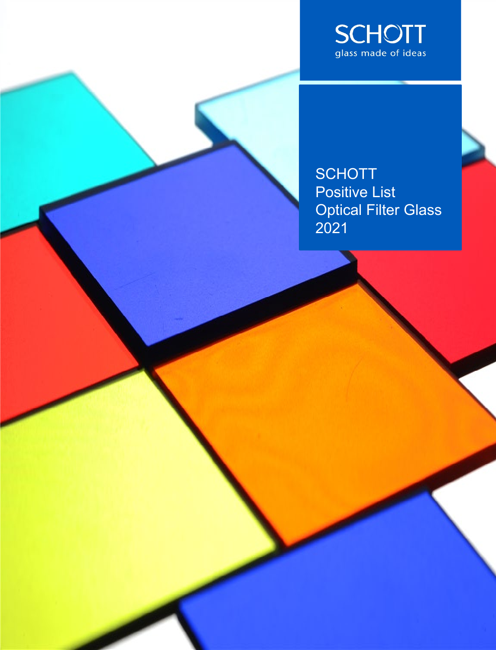

**SCHOTT** Positive List Optical Filter Glass 2021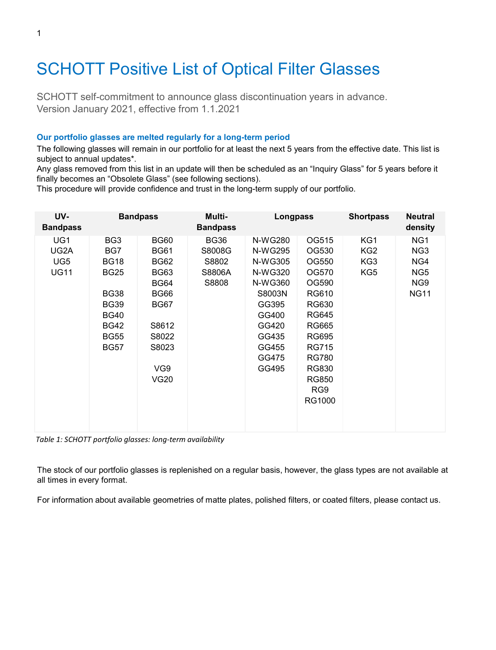# SCHOTT Positive List of Optical Filter Glasses

SCHOTT self-commitment to announce glass discontinuation years in advance. Version January 2021, effective from 1.1.2021

## **Our portfolio glasses are melted regularly for a long-term period**

The following glasses will remain in our portfolio for at least the next 5 years from the effective date. This list is subject to annual updates\*.

Any glass removed from this list in an update will then be scheduled as an "Inquiry Glass" for 5 years before it finally becomes an "Obsolete Glass" (see following sections).

This procedure will provide confidence and trust in the long-term supply of our portfolio.

| UV-<br><b>Bandpass</b>                        |                                                                                                                                                | <b>Bandpass</b>                                                                                                                                        | Multi-<br><b>Bandpass</b>                         | Longpass                                                                                                                     |                                                                                                                                                                                       | <b>Shortpass</b>                     | <b>Neutral</b><br>density                                                                      |
|-----------------------------------------------|------------------------------------------------------------------------------------------------------------------------------------------------|--------------------------------------------------------------------------------------------------------------------------------------------------------|---------------------------------------------------|------------------------------------------------------------------------------------------------------------------------------|---------------------------------------------------------------------------------------------------------------------------------------------------------------------------------------|--------------------------------------|------------------------------------------------------------------------------------------------|
| UG1<br>UG2A<br>UG <sub>5</sub><br><b>UG11</b> | BG <sub>3</sub><br>BG7<br><b>BG18</b><br><b>BG25</b><br><b>BG38</b><br><b>BG39</b><br><b>BG40</b><br><b>BG42</b><br><b>BG55</b><br><b>BG57</b> | <b>BG60</b><br><b>BG61</b><br><b>BG62</b><br><b>BG63</b><br><b>BG64</b><br><b>BG66</b><br><b>BG67</b><br>S8612<br>S8022<br>S8023<br>VG9<br><b>VG20</b> | <b>BG36</b><br>S8008G<br>S8802<br>S8806A<br>S8808 | N-WG280<br>N-WG295<br>N-WG305<br>N-WG320<br>N-WG360<br>S8003N<br>GG395<br>GG400<br>GG420<br>GG435<br>GG455<br>GG475<br>GG495 | OG515<br>OG530<br>OG550<br>OG570<br>OG590<br>RG610<br>RG630<br><b>RG645</b><br><b>RG665</b><br><b>RG695</b><br><b>RG715</b><br><b>RG780</b><br>RG830<br><b>RG850</b><br>RG9<br>RG1000 | KG1<br>KG <sub>2</sub><br>KG3<br>KG5 | NG <sub>1</sub><br>NG <sub>3</sub><br>NG4<br>NG <sub>5</sub><br>NG <sub>9</sub><br><b>NG11</b> |

*Table 1: SCHOTT portfolio glasses: long-term availability*

The stock of our portfolio glasses is replenished on a regular basis, however, the glass types are not available at all times in every format.

For information about available geometries of matte plates, polished filters, or coated filters, please contact us.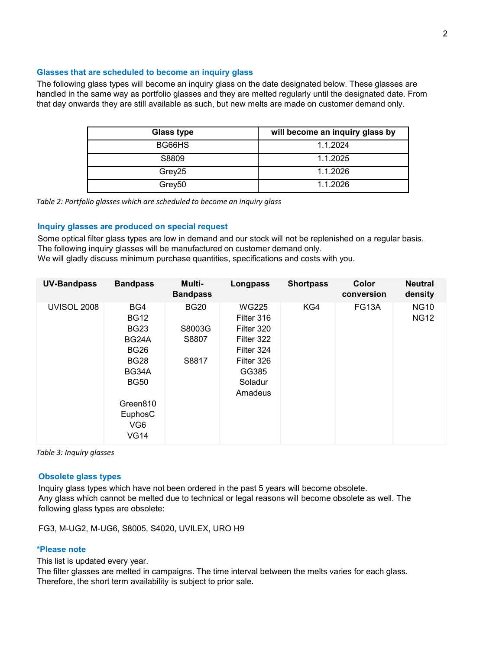#### **Glasses that are scheduled to become an inquiry glass**

The following glass types will become an inquiry glass on the date designated below. These glasses are handled in the same way as portfolio glasses and they are melted regularly until the designated date. From that day onwards they are still available as such, but new melts are made on customer demand only.

| Glass type         | will become an inquiry glass by |
|--------------------|---------------------------------|
| BG66HS             | 1.1.2024                        |
| S8809              | 1.1.2025                        |
| Grey25             | 1.1.2026                        |
| Grey <sub>50</sub> | 1.1.2026                        |

*Table 2: Portfolio glasses which are scheduled to become an inquiry glass*

#### **Inquiry glasses are produced on special request**

Some optical filter glass types are low in demand and our stock will not be replenished on a regular basis. The following inquiry glasses will be manufactured on customer demand only. We will gladly discuss minimum purchase quantities, specifications and costs with you.

| <b>UV-Bandpass</b> | <b>Bandpass</b>                                                                                                                                           | Multi-<br><b>Bandpass</b>               | Longpass                                                                                                          | <b>Shortpass</b> | Color<br>conversion | <b>Neutral</b><br>density  |
|--------------------|-----------------------------------------------------------------------------------------------------------------------------------------------------------|-----------------------------------------|-------------------------------------------------------------------------------------------------------------------|------------------|---------------------|----------------------------|
| <b>UVISOL 2008</b> | BG4<br><b>BG12</b><br><b>BG23</b><br>BG24A<br><b>BG26</b><br><b>BG28</b><br>BG34A<br><b>BG50</b><br>Green810<br>EuphosC<br>VG <sub>6</sub><br><b>VG14</b> | <b>BG20</b><br>S8003G<br>S8807<br>S8817 | <b>WG225</b><br>Filter 316<br>Filter 320<br>Filter 322<br>Filter 324<br>Filter 326<br>GG385<br>Soladur<br>Amadeus | KG4              | FG13A               | <b>NG10</b><br><b>NG12</b> |

*Table 3: Inquiry glasses*

#### **Obsolete glass types**

Inquiry glass types which have not been ordered in the past 5 years will become obsolete. Any glass which cannot be melted due to technical or legal reasons will become obsolete as well. The following glass types are obsolete:

FG3, M-UG2, M-UG6, S8005, S4020, UVILEX, URO H9

### **\*Please note**

This list is updated every year.

The filter glasses are melted in campaigns. The time interval between the melts varies for each glass. Therefore, the short term availability is subject to prior sale.